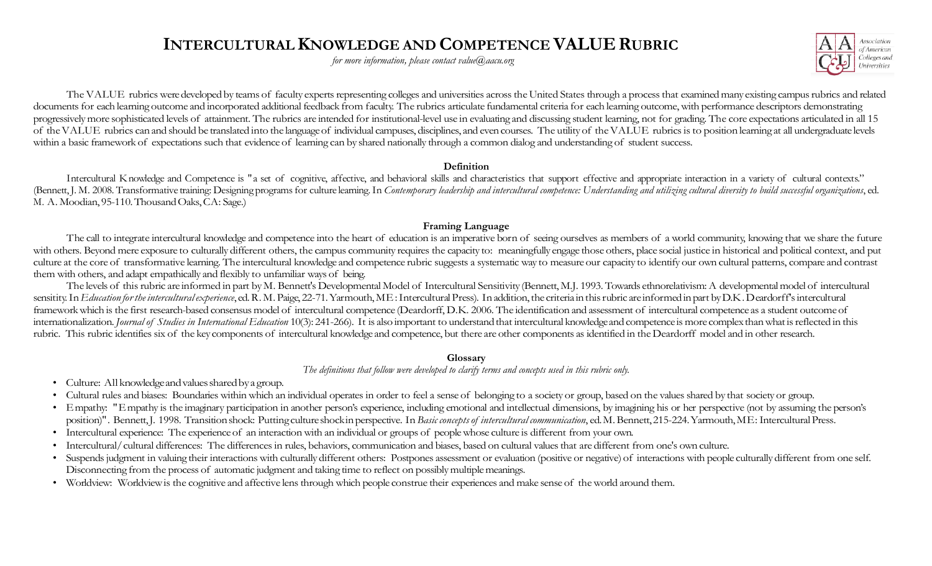# INTERCULTURAL KNOWLEDGE AND COMPETENCE VALUE RUBRIC

for more information, please contact value $\omega$ aacu.org



The VALUE rubrics were developed by teams of faculty experts representing colleges and universities across the United States through a process that examined many existing campus rubrics and related documents for each learning outcome and incorporated additional feedback from faculty. The rubrics articulate fundamental criteria for each learning outcome, with performance descriptors demonstrating progressively more sophisticated levels of attainment. The rubrics are intended for institutional-level use in evaluating and discussing student learning, not for grading. The core expectations articulated in all 15 of the within a basic framework of expectations such that evidence of learning can by shared nationally through a common dialog and understanding of student success. The VALUE rabits ostacle deped to each of finals experience of light and intercelle intervent be critered intervent for the intervent departement of the intervent of experience intervent intervent intervent intervent inter

### Definition

Intercultural Knowledge and Competence is "a set of cognitive, affective, and behavioral skills and characteristics that support effective and appropriate interaction in a variety of cultural contexts." (Bennett, J. M. 2008. Transformative training: Designing programs for culture learning. In Contemporary leadership and intercultural competence: Understanding and utilizing cultural diversity to build successful organizati M. A. Moodian, 95-110. Thousand Oaks, CA: Sage.)

### Framing Language

The call to integrate intercultural knowledge and competence into the heart of education is an imperative born of seeing ourselves as members of a world community, knowing that we share the future with others. Beyond mere exposure to culturally different others, the campus community requires the capacity to: meaningfully engage those others, place social justice in historical and political context, and put culture at the core of transformative learning. The intercultural knowledge and competence rubric suggests a systematic way to measure our capacity to identify our own cultural patterns, compare and contrast them with others, and adapt empathically and flexibly to unfamiliar ways of being.

The levels of this rubric are informed in part by M. Bennett's Developmental Model of Intercultural Sensitivity (Bennett, M.J. 1993. Towards ethnorelativism: A developmental model of intercultural framework which is the first research-based consensus model of intercultural competence (Deardorff, D.K. 2006. The identification and assessment of intercultural competence as a student outcome of internationalization. Journal of Studies in International Education 10(3): 241-266). It is also important to understand that intercultural knowledge and competence is more complex than what is reflected in this rubric. This rubric identifies six of the key components of intercultural knowledge and competence, but there are other components as identified in the Deardorff model and in other research.

### Glossary

The definitions that follow were developed to clarify terms and concepts used in this rubric only.

- Culture: All knowledge and values shared by a group.
- Cultural rules and biases: Boundaries within which an individual operates in order to feel a sense of belonging to a society or group, based on the values shared by that society or group.
- Empathy: "Empathy is the imaginary participation in another person's experience, including emotional and intellectual dimensions, by imagining his or her perspective (not by assuming the person's position)". Bennett, J. 1998. Transition shock: Putting culture shock in perspective. In Basic concepts of intercultural communication, ed. M. Bennett, 215-224. Yarmouth, ME: Intercultural Press.
- Intercultural experience: The experience of an interaction with an individual or groups of people whose culture is different from your own.
- Intercultural/ cultural differences: The differences in rules, behaviors, communication and biases, based on cultural values that are different from one's own culture.
- Suspends judgment in valuing their interactions with culturally different others: Postpones assessment or evaluation (positive or negative) of interactions with people culturally different from one self. Disconnecting from the process of automatic judgment and taking time to reflect on possibly multiple meanings.
- Worldview: Worldview is the cognitive and affective lens through which people construe their experiences and make sense of the world around them.